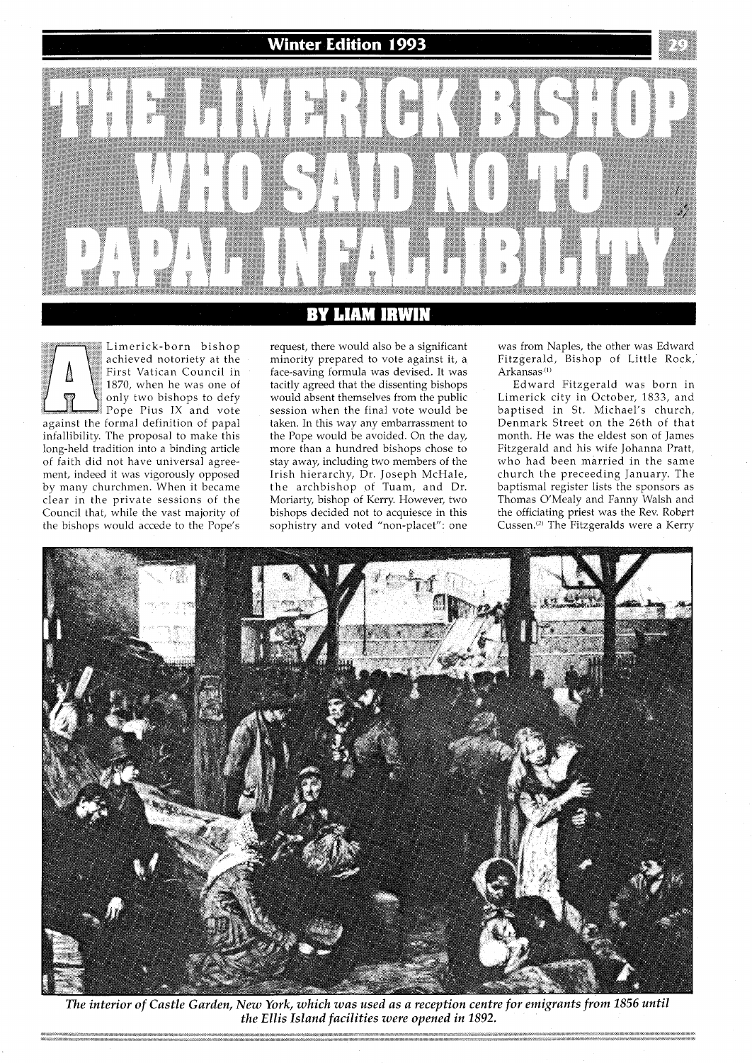

## LIAM BY IRWR

achieved notoriety at the First Vatican Council in 1870, when he was one of only two bishops to defy Pope Pius IX and vote against the formal definition of papal infallibility. The proposal to make this long-held tradition into a binding article of faith did not have universal agreement, indeed it was vigorously opposed by many churchmen. When it became clear in the private sessions of the Council that, while the vast majority of

the bishops would accede to the Pope's

Limerick-born bishop

request, there would also be a significant minority prepared to vote against it, a face-saving formula was devised. It was tacitly agreed that the dissenting bishops would absent themselves from the public session when the final vote would be taken. In this way any embarrassment to the Pope would be avoided. On the day, more than a hundred bishops chose to stay away, including two members of the Irish hierarchy, Dr. Joseph McHale, the archbishop of Tuam, and Dr. Moriarty, bishop of Kerry. However, two bishops decided not to acquiesce in this sophistry and voted "non-placet": one

was from Naples, the other was Edward Fitzgerald, Bishop of Little Rock, Arkansas **(l)** 

Edward Fitzgerald was born in Limerick city in October, 1833, and baptised in St. Michael's church, Denmark Street on the 26th of that month. He was the eldest son of James Fitzgerald and his wife Johanna Pratt, who had been married in the same church the preceeding January. The baptismal register lists the sponsors as Thomas O'Mealy and Fanny Walsh and the officiating priest was the Rev. Robert Cussen.<sup>(2)</sup> The Fitzgeralds were a Kerry



*The interior of Castle Garden, New York, which was used as a reception centre for emigrants from 1856 until the Ellis Island facilities were opened in 1892.*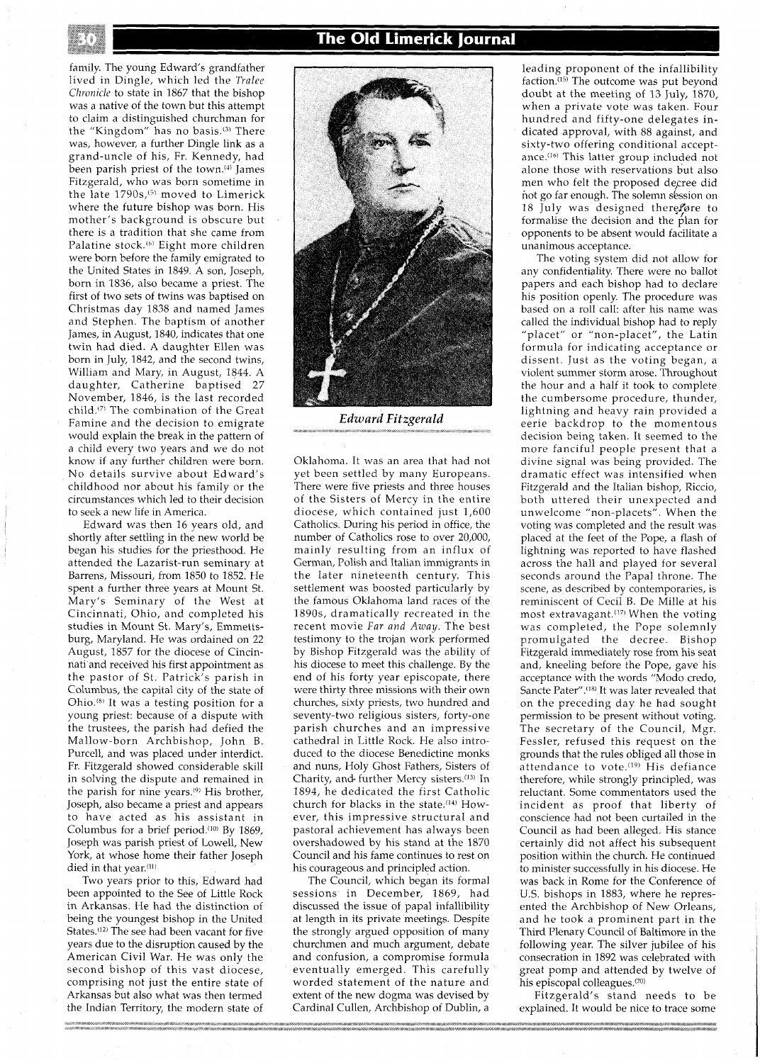family. The young Edward's grandfather lived in Dingle, which led the **Trnlee**  *Chronicle* to state in 1867 that the bishop was a native of the town but this attempt to claim a distinguished churchman for the "Kingdom" has no basis.<sup>(3)</sup> There was, however, a further Dingle link as a grand-uncle of his, Fr. Kennedy, had been parish priest of the town.<sup>(4)</sup> James Fitzgerald, who was born sometime in the late 1790s,<sup>(5)</sup> moved to Limerick where the future bishop was born. His mother's background is obscure but there is a tradition that she came from Palatine stock.<sup>(6)</sup> Eight more children were born before the family emigrated to the United States in 1849. A son, Joseph, born in 1836, also became a priest. The first of two sets of twins was baptised on Christmas day 1838 and named James and Stephen. The baptism of another James, in August, 1840, indicates that one twin had died. A daughter Ellen was born in July, 1842, and the second twins, William and Mary, in August, 1844. A daughter, Catherine baptised 27 November, 1846, is the last recorded child.(71 The combination of the Great Famine and the decision to emigrate would explain the break in the pattern of a child every two years and we do not know if any further children were born. No details survive about Edward's childhood nor about his family or the circumstances which led to their decision to seek a new life in America.

Edward was then 16 years old, and shortly after settling in the new world be began his studies for the priesthood. He attended the Lazarist-run seminary at Barrens, Missouri, from 1850 to 1852. He spent a further three years at Mount St. Mary's Seminary of the West at Cincinnati, Ohio, and completed his studies in Mount St. Mary's, Emmettsburg, Maryland. He was ordained on 22 August, 1857 for the diocese of Cincinnati and received his first appointment as the pastor of St. Patrick's parish in Columbus, the capital city of the state of Ohio.<sup>(8)</sup> It was a testing position for a young priest: because of a dispute with the trustees, the parish had defied the Mallow-born Archbishop, John B. Purcell, and was placed under interdict. Fr. Fitzgerald showed considerable skill in solving the dispute and remained in the parish for nine years.(9) His brother, Joseph, also became a priest and appears to have acted as his assistant in Columbus for a brief period.<sup>(10)</sup> By 1869, Joseph was parish priest of Lowell, New York, at whose home their father Joseph died in that year.<sup>(11)</sup>

Two years prior to this, Edward had been appointed to the See of Little Rock in Arkansas. He had the distinction of being the youngest bishop in the United States.<sup>(12)</sup> The see had been vacant for five years due to the disruption caused by the American Civil War. He was only the second bishop of this vast diocese, comprising not just the entire state of Arkansas but also what was then termed the Indian Territory, the modern state of

## **The Old Limerick Journal**



*Edward Fitzgerald* 

Oklahoma. It was an area that had not yet been settled by many Europeans. There were five priests and three houses of the Sisters of Mercy in the entire diocese, which contained just 1,600 Catholics. During his period in office, the number of Catholics rose to over 20,000, mainly resulting from an influx of German, Polish and Italian immigrants in the later nineteenth century. This settlement was boosted particularly by the famous Oklahoma land races of the 1890s, dramatically recreated in the recent movie Far and Away. The best testimony to the trojan work performed by Bishop Fitzgerald was the ability of his diocese to meet this challenge. By the end of his forty year episcopate, there were thirty three missions with their own churches, sixty priests, two hundred and seventy-two religious sisters, forty-one parish churches and an impressive cathedral in Little Rock. He also introduced to the diocese Benedictine monks and nuns, Holy Ghost Fathers, Sisters of Charity, and further Mercy sisters.<sup>(13)</sup> In 1894, he dedicated the first Catholic church for blacks in the state.(I4) However, this impressive structural and pastoral achievement has always been overshadowed by his stand at the 1870 Council and his fame continues to rest on his courageous and principled action.

The Council, which began its formal sessions in December, 1869, had discussed the issue of papal infallibility at length in its private meetings. Despite the strongly argued opposition of many churchmen and much argument, debate and confusion, a compromise formula eventually emerged: This carefully worded statement of the nature and extent of the new dogma was devised by Cardinal Cullen, Archbishop of Dublin, a

leading proponent of the infallibility faction.(15) The outcome was put beyond doubt at the meeting of 13 July, 1870, when a private vote was taken. Four hundred and fifty-one delegates indicated approval, with 88 against, and sixty-two offering conditional acceptance.<sup>(16)</sup> This latter group included not alone those with reservations but also men who felt the proposed decree did not go far enough. The solemn session on 18 July was designed therefore to formalise the decision and the plan for opponents to be absent would facilitate a unanimous acceptance.

The voting system did not allow for any confidentiality. There were no ballot papers and each bishop had to declare his position openly. The procedure was based on a roll call: after his name was called the individual bishop had to reply "placet" or "non-placet", the Latin formula for indicating acceptance or dissent. Just as the voting began, a violent summer storm arose. Throughout the hour and a half it took to complete the cumbersome procedure, thunder, lightning and heavy rain provided a eerie backdrop to the momentous decision being taken. It seemed to the more fanciful people present that a divine signal was being provided. The dramatic effect was intensified when Fitzgerald and the Italian bishop, Riccio, both uttered their unexpected and unwelcome "non-placets". When the voting was completed and the result was placed at the feet of the Pope, a flash of lightning was reported to have flashed across the hall and played for several seconds around the Papal throne. The scene, as described by contemporaries, is reminiscent of Cecil B. De Mille at his most extravagant.<sup>(17)</sup> When the voting was completed, the Pope solemnly promulgated the decree. Bishop Fitzgerald immediately rose from his seat and, kneeling before the Pope, gave his acceptance with the words "Modo credo, Sancte Pater".<sup>(18)</sup> It was later revealed that on the preceding day he had sought permission to be present without voting. The secretary of the Council, Mgr. Fessler, refused this request on the grounds that the rules obliged all those in attendance to vote.<sup>(19)</sup> His defiance therefore, while strongly principled, was reluctant. Some commentators used the incident as proof that liberty of conscience had-not been curtailed in the Council as had been alleged. His stance certainly did not affect his subsequent position within the church. He continued to minister successfully in his diocese. He was back in Rome for the Conference of U.S. bishops in 1883, where he represented the Archbishop of New Orleans, and he took a prominent part in the Third Plenary Council of Baltimore in the following year. The silver jubilee of his consecration in 1892 was celebrated with great pomp and attended by twelve of his episcopal colleagues.<sup>(20)</sup>

Fitzgerald's stand needs to be explained. It would be nice to trace some